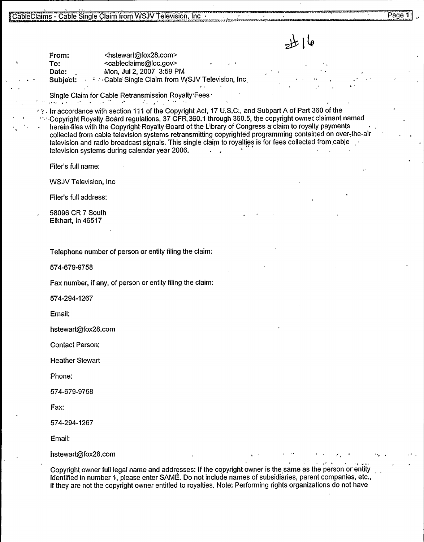عا ( پلله

<u>ا</u>

From: <hstewart@fox28.com><br>To: <cableclaims@loc.gov> To: <cableclaims@loc.gov><br>Date: Mon. Jul 2. 2007 3:59 F Mon, Jul 2, 2007 3:59 PM Subject: **- Cable Single Claim from WSJV Television, Inc.** 

Single Claim for Cable Retransmission Royalty Fees

 $\gamma$  . In accordance with section 111 of the Copyright Act, 17 U.S.C., and Subpart A of Part 360 of the '.Copyright Royalty Board regulations, 37 CFR.360.1 through 360.5, the copyright owner. claimant named herein files with the Copyright Royalty Board of the Library of Congress a claim to royalty payments collected from cable television systems retransmitting copyrighted programming contained on over-the-air television and radio broadcast signals. This single claim to royalties is for fees collected from cable television systems during calendar year 2006.

Filer's full name:

k

WSJV Television, Inc

Filer's full address:

58096 CR 7 South Elkhart, In 46517

Telephone number of person or entity filing the claim:

574-679-9758

Fax number, if any, of person or entity filing the claim:

574-294-1267

Email:

hstewart@fox28.com

Contact Person:

Heather Stewart

Phone:

574-679-9758

Fax:

574-294-1267

Email:

hstewart@fox28.com

Copyright owner full legal name and addresses: If the copyright owner is the same as the person or entity identified in number 1, please enter SAME. Do not include names of subsidiaries, parent companies, etc., if they are not the copyright owner entitled to royalties. Note: Performing rights organizations do not have